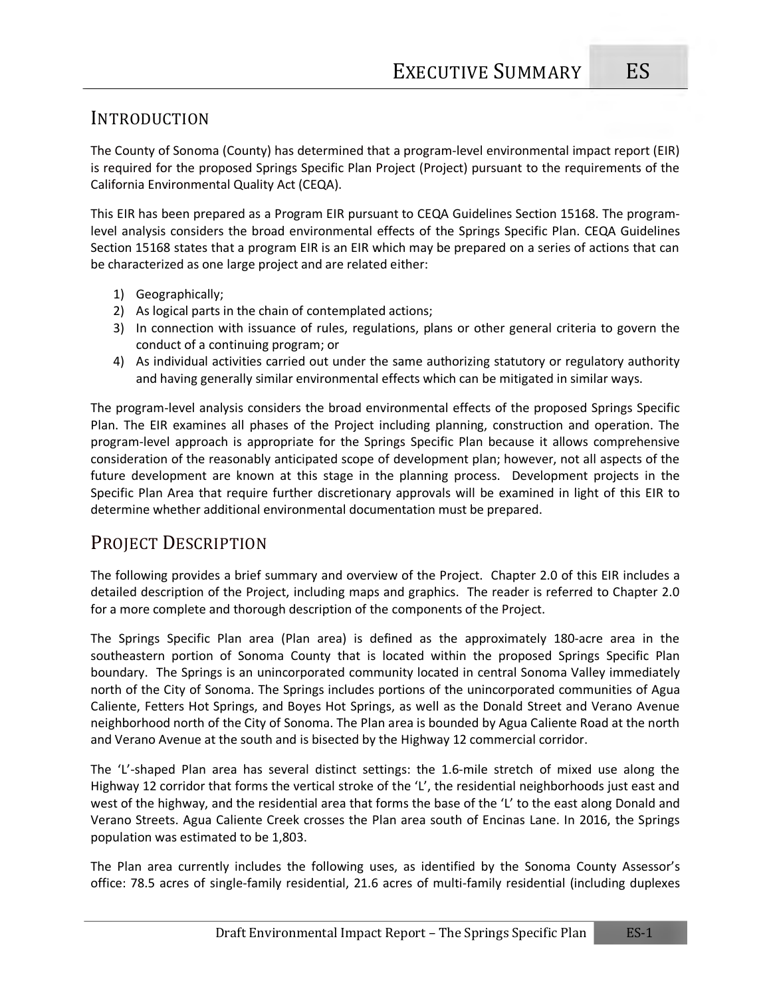#### INTRODUCTION

The County of Sonoma (County) has determined that a program-level environmental impact report (EIR) is required for the proposed Springs Specific Plan Project (Project) pursuant to the requirements of the California Environmental Quality Act (CEQA).

This EIR has been prepared as a Program EIR pursuant to CEQA Guidelines Section 15168. The programlevel analysis considers the broad environmental effects of the Springs Specific Plan. CEQA Guidelines Section 15168 states that a program EIR is an EIR which may be prepared on a series of actions that can be characterized as one large project and are related either:

- 1) Geographically;
- 2) As logical parts in the chain of contemplated actions;
- 3) In connection with issuance of rules, regulations, plans or other general criteria to govern the conduct of a continuing program; or
- 4) As individual activities carried out under the same authorizing statutory or regulatory authority and having generally similar environmental effects which can be mitigated in similar ways.

The program-level analysis considers the broad environmental effects of the proposed Springs Specific Plan. The EIR examines all phases of the Project including planning, construction and operation. The program-level approach is appropriate for the Springs Specific Plan because it allows comprehensive consideration of the reasonably anticipated scope of development plan; however, not all aspects of the future development are known at this stage in the planning process. Development projects in the Specific Plan Area that require further discretionary approvals will be examined in light of this EIR to determine whether additional environmental documentation must be prepared.

## PROJECT DESCRIPTION

The following provides a brief summary and overview of the Project. Chapter 2.0 of this EIR includes a detailed description of the Project, including maps and graphics. The reader is referred to Chapter 2.0 for a more complete and thorough description of the components of the Project.

The Springs Specific Plan area (Plan area) is defined as the approximately 180-acre area in the southeastern portion of Sonoma County that is located within the proposed Springs Specific Plan boundary. The Springs is an unincorporated community located in central Sonoma Valley immediately north of the City of Sonoma. The Springs includes portions of the unincorporated communities of Agua Caliente, Fetters Hot Springs, and Boyes Hot Springs, as well as the Donald Street and Verano Avenue neighborhood north of the City of Sonoma. The Plan area is bounded by Agua Caliente Road at the north and Verano Avenue at the south and is bisected by the Highway 12 commercial corridor.

The 'L'-shaped Plan area has several distinct settings: the 1.6-mile stretch of mixed use along the Highway 12 corridor that forms the vertical stroke of the 'L', the residential neighborhoods just east and west of the highway, and the residential area that forms the base of the 'L' to the east along Donald and Verano Streets. Agua Caliente Creek crosses the Plan area south of Encinas Lane. In 2016, the Springs population was estimated to be 1,803.

The Plan area currently includes the following uses, as identified by the Sonoma County Assessor's office: 78.5 acres of single-family residential, 21.6 acres of multi-family residential (including duplexes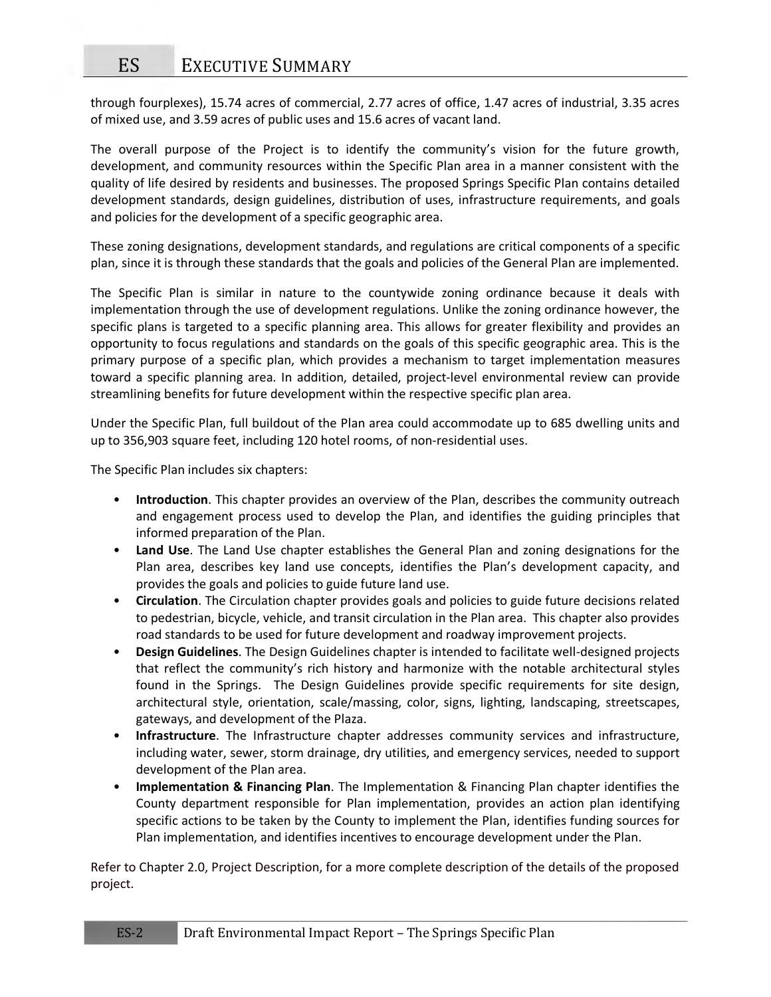through fourplexes), 15.74 acres of commercial, 2.77 acres of office, 1.47 acres of industrial, 3.35 acres of mixed use, and 3.59 acres of public uses and 15.6 acres of vacant land.

The overall purpose of the Project is to identify the community's vision for the future growth, development, and community resources within the Specific Plan area in a manner consistent with the quality of life desired by residents and businesses. The proposed Springs Specific Plan contains detailed development standards, design guidelines, distribution of uses, infrastructure requirements, and goals and policies for the development of a specific geographic area.

These zoning designations, development standards, and regulations are critical components of a specific plan, since it is through these standards that the goals and policies of the General Plan are implemented.

The Specific Plan is similar in nature to the countywide zoning ordinance because it deals with implementation through the use of development regulations. Unlike the zoning ordinance however, the specific plans is targeted to a specific planning area. This allows for greater flexibility and provides an opportunity to focus regulations and standards on the goals of this specific geographic area. This is the primary purpose of a specific plan, which provides a mechanism to target implementation measures toward a specific planning area. In addition, detailed, project-level environmental review can provide streamlining benefits for future development within the respective specific plan area.

Under the Specific Plan, full buildout of the Plan area could accommodate up to 685 dwelling units and up to 356,903 square feet, including 120 hotel rooms, of non-residential uses.

The Specific Plan includes six chapters:

- **Introduction**. This chapter provides an overview of the Plan, describes the community outreach and engagement process used to develop the Plan, and identifies the guiding principles that informed preparation of the Plan.
- **Land Use**. The Land Use chapter establishes the General Plan and zoning designations for the Plan area, describes key land use concepts, identifies the Plan's development capacity, and provides the goals and policies to guide future land use.
- **Circulation**. The Circulation chapter provides goals and policies to guide future decisions related to pedestrian, bicycle, vehicle, and transit circulation in the Plan area. This chapter also provides road standards to be used for future development and roadway improvement projects.
- **Design Guidelines**. The Design Guidelines chapter is intended to facilitate well-designed projects that reflect the community's rich history and harmonize with the notable architectural styles found in the Springs. The Design Guidelines provide specific requirements for site design, architectural style, orientation, scale/massing, color, signs, lighting, landscaping, streetscapes, gateways, and development of the Plaza.
- **Infrastructure**. The Infrastructure chapter addresses community services and infrastructure, including water, sewer, storm drainage, dry utilities, and emergency services, needed to support development of the Plan area.
- **Implementation & Financing Plan**. The Implementation & Financing Plan chapter identifies the County department responsible for Plan implementation, provides an action plan identifying specific actions to be taken by the County to implement the Plan, identifies funding sources for Plan implementation, and identifies incentives to encourage development under the Plan.

Refer to Chapter 2.0, Project Description, for a more complete description of the details of the proposed project.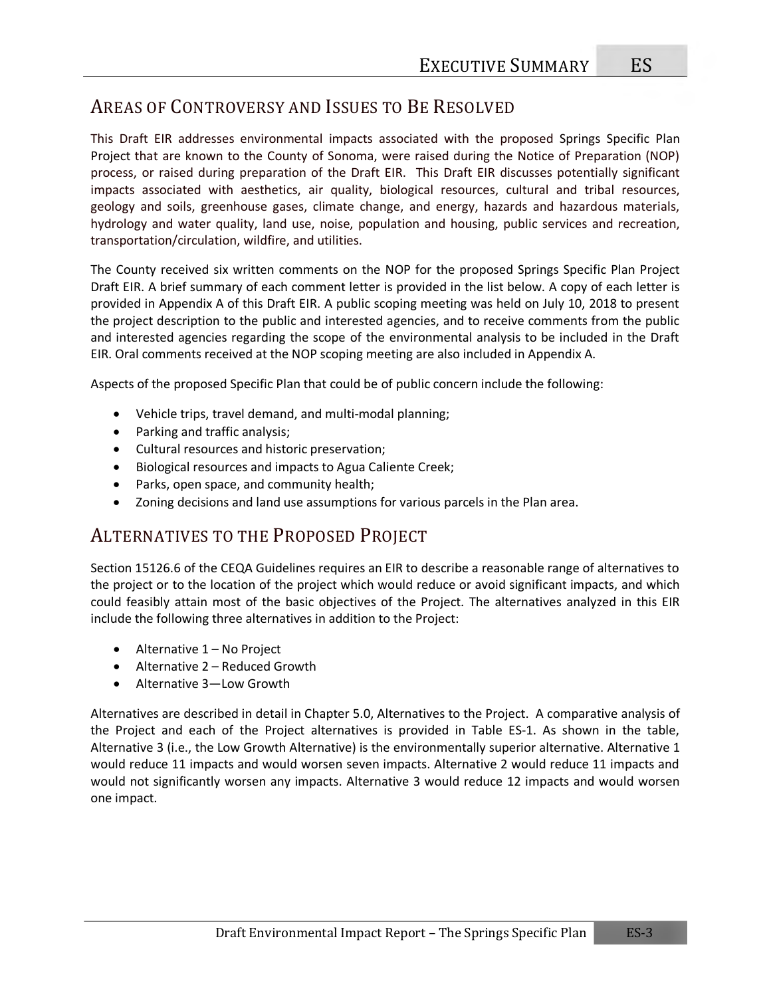## AREAS OF CONTROVERSY AND ISSUES TO BE RESOLVED

This Draft EIR addresses environmental impacts associated with the proposed Springs Specific Plan Project that are known to the County of Sonoma, were raised during the Notice of Preparation (NOP) process, or raised during preparation of the Draft EIR. This Draft EIR discusses potentially significant impacts associated with aesthetics, air quality, biological resources, cultural and tribal resources, geology and soils, greenhouse gases, climate change, and energy, hazards and hazardous materials, hydrology and water quality, land use, noise, population and housing, public services and recreation, transportation/circulation, wildfire, and utilities.

The County received six written comments on the NOP for the proposed Springs Specific Plan Project Draft EIR. A brief summary of each comment letter is provided in the list below. A copy of each letter is provided in Appendix A of this Draft EIR. A public scoping meeting was held on July 10, 2018 to present the project description to the public and interested agencies, and to receive comments from the public and interested agencies regarding the scope of the environmental analysis to be included in the Draft EIR. Oral comments received at the NOP scoping meeting are also included in Appendix A.

Aspects of the proposed Specific Plan that could be of public concern include the following:

- Vehicle trips, travel demand, and multi-modal planning;
- Parking and traffic analysis;
- Cultural resources and historic preservation;
- Biological resources and impacts to Agua Caliente Creek;
- Parks, open space, and community health;
- Zoning decisions and land use assumptions for various parcels in the Plan area.

## ALTERNATIVES TO THE PROPOSED PROJECT

Section 15126.6 of the CEQA Guidelines requires an EIR to describe a reasonable range of alternatives to the project or to the location of the project which would reduce or avoid significant impacts, and which could feasibly attain most of the basic objectives of the Project. The alternatives analyzed in this EIR include the following three alternatives in addition to the Project:

- Alternative 1 No Project
- Alternative 2 Reduced Growth
- Alternative 3—Low Growth

Alternatives are described in detail in Chapter 5.0, Alternatives to the Project. A comparative analysis of the Project and each of the Project alternatives is provided in Table ES-1. As shown in the table, Alternative 3 (i.e., the Low Growth Alternative) is the environmentally superior alternative. Alternative 1 would reduce 11 impacts and would worsen seven impacts. Alternative 2 would reduce 11 impacts and would not significantly worsen any impacts. Alternative 3 would reduce 12 impacts and would worsen one impact.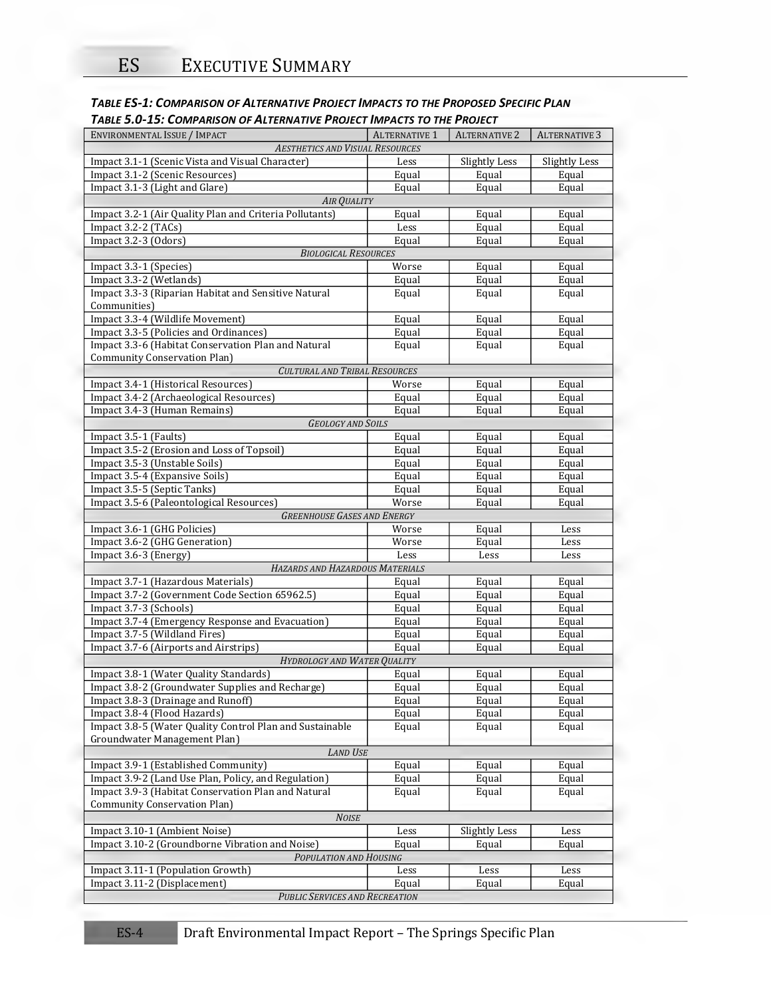| TABLE ES-1: COMPARISON OF ALTERNATIVE PROJECT IMPACTS TO THE PROPOSED SPECIFIC PLAN |  |  |  |  |  |  |  |  |  |  |  |
|-------------------------------------------------------------------------------------|--|--|--|--|--|--|--|--|--|--|--|
|                                                                                     |  |  |  |  |  |  |  |  |  |  |  |

| <b>ENVIRONMENTAL ISSUE / IMPACT</b>                               | <b>ALTERNATIVE 1</b> | <b>ALTERNATIVE 2</b> | <b>ALTERNATIVE 3</b> |
|-------------------------------------------------------------------|----------------------|----------------------|----------------------|
| <b>AESTHETICS AND VISUAL RESOURCES</b>                            |                      |                      |                      |
| Impact 3.1-1 (Scenic Vista and Visual Character)                  | Less                 | <b>Slightly Less</b> | <b>Slightly Less</b> |
|                                                                   |                      |                      |                      |
| Impact 3.1-2 (Scenic Resources)                                   | Equal                | Equal                | Equal                |
| Impact 3.1-3 (Light and Glare)                                    | Equal                | Equal                | Equal                |
| <b>AIR QUALITY</b>                                                |                      |                      |                      |
| Impact 3.2-1 (Air Quality Plan and Criteria Pollutants)           | Equal                | Equal                | Equal                |
| Impact 3.2-2 (TACs)                                               | Less                 | Equal                | Equal                |
| Impact 3.2-3 (Odors)                                              | Equal                | Equal                | Equal                |
| <b>BIOLOGICAL RESOURCES</b>                                       |                      |                      |                      |
| Impact 3.3-1 (Species)                                            | Worse                | Equal                | Equal                |
| Impact 3.3-2 (Wetlands)                                           | Equal                | Equal                | Equal                |
| Impact 3.3-3 (Riparian Habitat and Sensitive Natural              | Equal                | Equal                | Equal                |
| Communities)                                                      |                      |                      |                      |
| Impact 3.3-4 (Wildlife Movement)                                  | Equal                | Equal                | Equal                |
| Impact 3.3-5 (Policies and Ordinances)                            | Equal                | Equal                | Equal                |
| Impact 3.3-6 (Habitat Conservation Plan and Natural               | Equal                | Equal                | Equal                |
| <b>Community Conservation Plan)</b>                               |                      |                      |                      |
| CULTURAL AND TRIBAL RESOURCES                                     |                      |                      |                      |
| Impact 3.4-1 (Historical Resources)                               | Worse                | Equal                | Equal                |
| Impact 3.4-2 (Archaeological Resources)                           | Equal                | Equal                | Equal                |
| Impact 3.4-3 (Human Remains)                                      | Equal                | Equal                | Equal                |
| <b>GEOLOGY AND SOILS</b>                                          |                      |                      |                      |
| Impact 3.5-1 (Faults)                                             | Equal                | Equal                | Equal                |
| Impact 3.5-2 (Erosion and Loss of Topsoil)                        | Equal                | Equal                | Equal                |
| Impact 3.5-3 (Unstable Soils)                                     | Equal                | Equal                | Equal                |
| Impact 3.5-4 (Expansive Soils)                                    | Equal                | Equal                | Equal                |
| Impact 3.5-5 (Septic Tanks)                                       | Equal                | Equal                | Equal                |
| Impact 3.5-6 (Paleontological Resources)                          | Worse                | Equal                | Equal                |
| <b>GREENHOUSE GASES AND ENERGY</b>                                |                      |                      |                      |
| Impact 3.6-1 (GHG Policies)                                       | Worse                | Equal                | Less                 |
| Impact 3.6-2 (GHG Generation)                                     | Worse                | Equal                | Less                 |
| Impact 3.6-3 (Energy)                                             | Less                 | Less                 | Less                 |
| HAZARDS AND HAZARDOUS MATERIALS                                   |                      |                      |                      |
| Impact 3.7-1 (Hazardous Materials)                                | Equal                | Equal                | Equal                |
| Impact 3.7-2 (Government Code Section 65962.5)                    | Equal                | Equal                | Equal                |
| Impact 3.7-3 (Schools)                                            | Equal                | Equal                | Equal                |
| Impact 3.7-4 (Emergency Response and Evacuation)                  | Equal                | Equal                | Equal                |
| Impact 3.7-5 (Wildland Fires)                                     | Equal                | Equal                | Equal                |
| Impact 3.7-6 (Airports and Airstrips)                             | Equal                | Equal                | Equal                |
| HYDROLOGY AND WATER QUALITY                                       |                      |                      |                      |
| Impact 3.8-1 (Water Quality Standards)                            | Equal                | Equal                | Equal                |
| Impact 3.8-2 (Groundwater Supplies and Recharge)                  | Equal                | Equal                | Equal                |
| Impact 3.8-3 (Drainage and Runoff)                                | Equal                | Equal                | Equal                |
| Impact 3.8-4 (Flood Hazards)                                      | Equal                | Equal                | Equal                |
| Impact 3.8-5 (Water Quality Control Plan and Sustainable          | Equal                | Equal                | Equal                |
| Groundwater Management Plan)                                      |                      |                      |                      |
| <b>LAND USE</b>                                                   |                      |                      |                      |
| Impact 3.9-1 (Established Community)                              | Equal                | Equal                | Equal                |
| Impact 3.9-2 (Land Use Plan, Policy, and Regulation)              | Equal                | Equal                | Equal                |
|                                                                   | Equal                | Equal                | Equal                |
| Impact 3.9-3 (Habitat Conservation Plan and Natural               |                      |                      |                      |
| <b>Community Conservation Plan)</b>                               |                      |                      |                      |
| <b>NOISE</b>                                                      |                      |                      |                      |
| Impact 3.10-1 (Ambient Noise)                                     | Less                 | <b>Slightly Less</b> | Less                 |
| Impact 3.10-2 (Groundborne Vibration and Noise)                   | Equal                | Equal                | Equal                |
| POPULATION AND HOUSING                                            |                      |                      |                      |
| Impact 3.11-1 (Population Growth)<br>Impact 3.11-2 (Displacement) | Less<br>Equal        | Less<br>Equal        | Less<br>Equal        |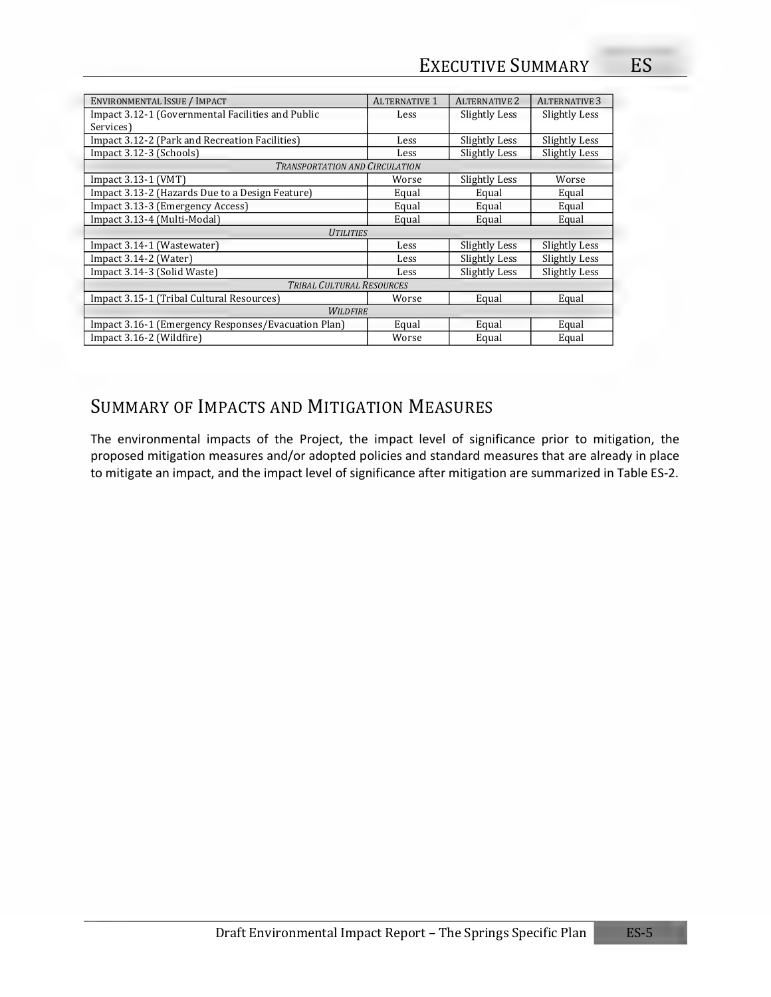| <b>ALTERNATIVE 1</b> | <b>ALTERNATIVE 2</b>                                                                                             | <b>ALTERNATIVE 3</b> |
|----------------------|------------------------------------------------------------------------------------------------------------------|----------------------|
| Less                 | Slightly Less                                                                                                    | Slightly Less        |
|                      |                                                                                                                  |                      |
| Less                 | Slightly Less                                                                                                    | Slightly Less        |
| Less                 | Slightly Less                                                                                                    | Slightly Less        |
|                      |                                                                                                                  |                      |
| Worse                | Slightly Less                                                                                                    | Worse                |
| Equal                | Equal                                                                                                            | Equal                |
| Equal                | Equal                                                                                                            | Equal                |
| Equal                | Equal                                                                                                            | Equal                |
|                      |                                                                                                                  |                      |
| Less                 | Slightly Less                                                                                                    | <b>Slightly Less</b> |
| Less                 | Slightly Less                                                                                                    | Slightly Less        |
| Less                 | Slightly Less                                                                                                    | Slightly Less        |
|                      |                                                                                                                  |                      |
| Worse                | Equal                                                                                                            | Equal                |
|                      |                                                                                                                  |                      |
| Equal                | Equal                                                                                                            | Equal                |
| Worse                | Equal                                                                                                            | Equal                |
|                      | <b>TRANSPORTATION AND CIRCULATION</b><br><b>UTILITIES</b><br><b>TRIBAL CULTURAL RESOURCES</b><br><b>WILDFIRE</b> |                      |

## SUMMARY OF IMPACTS AND MITIGATION MEASURES

The environmental impacts of the Project, the impact level of significance prior to mitigation, the proposed mitigation measures and/or adopted policies and standard measures that are already in place to mitigate an impact, and the impact level of significance after mitigation are summarized in Table ES-2.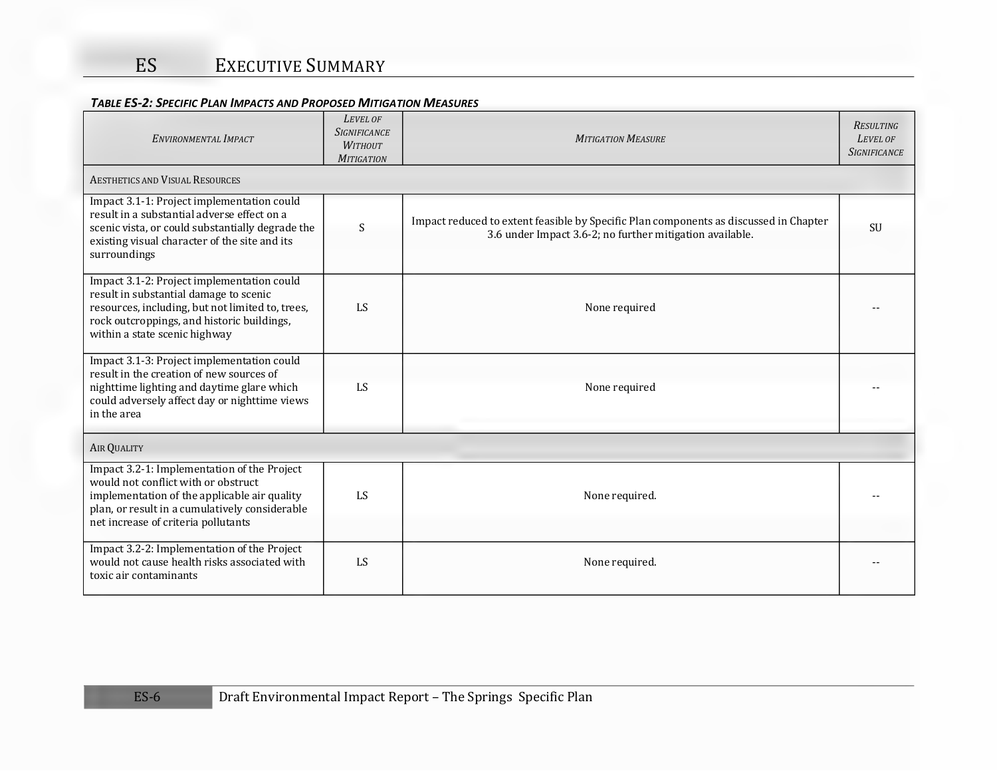| ENVIRONMENTAL IMPACT                                                                                                                                                                                                        | LEVEL OF<br><b>SIGNIFICANCE</b><br><b>WITHOUT</b><br><b>MITIGATION</b> | <b>MITIGATION MEASURE</b>                                                                                                                         | <b>RESULTING</b><br>LEVEL OF<br><b>SIGNIFICANCE</b> |
|-----------------------------------------------------------------------------------------------------------------------------------------------------------------------------------------------------------------------------|------------------------------------------------------------------------|---------------------------------------------------------------------------------------------------------------------------------------------------|-----------------------------------------------------|
| AESTHETICS AND VISUAL RESOURCES                                                                                                                                                                                             |                                                                        |                                                                                                                                                   |                                                     |
| Impact 3.1-1: Project implementation could<br>result in a substantial adverse effect on a<br>scenic vista, or could substantially degrade the<br>existing visual character of the site and its<br>surroundings              | $\boldsymbol{\mathsf{S}}$                                              | Impact reduced to extent feasible by Specific Plan components as discussed in Chapter<br>3.6 under Impact 3.6-2; no further mitigation available. | SU                                                  |
| Impact 3.1-2: Project implementation could<br>result in substantial damage to scenic<br>resources, including, but not limited to, trees,<br>rock outcroppings, and historic buildings,<br>within a state scenic highway     | LS                                                                     | None required                                                                                                                                     |                                                     |
| Impact 3.1-3: Project implementation could<br>result in the creation of new sources of<br>nighttime lighting and daytime glare which<br>could adversely affect day or nighttime views<br>in the area                        | LS                                                                     | None required                                                                                                                                     |                                                     |
| <b>AIR QUALITY</b>                                                                                                                                                                                                          |                                                                        |                                                                                                                                                   |                                                     |
| Impact 3.2-1: Implementation of the Project<br>would not conflict with or obstruct<br>implementation of the applicable air quality<br>plan, or result in a cumulatively considerable<br>net increase of criteria pollutants | LS                                                                     | None required.                                                                                                                                    |                                                     |
| Impact 3.2-2: Implementation of the Project<br>would not cause health risks associated with<br>toxic air contaminants                                                                                                       | LS                                                                     | None required.                                                                                                                                    |                                                     |

#### *TABLE ES-2: SPECIFIC PLAN IMPACTS AND PROPOSED MITIGATION MEASURES*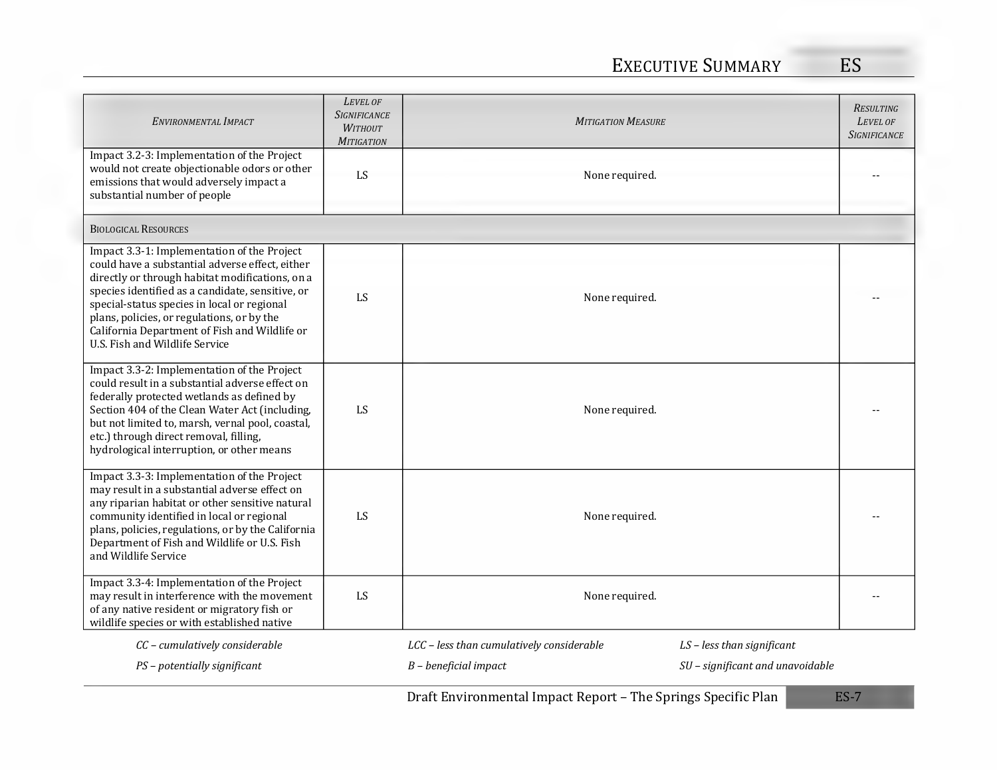| ENVIRONMENTAL IMPACT                                                                                                                                                                                                                                                                                                                                                                  | LEVEL OF<br><b>SIGNIFICANCE</b><br><b>WITHOUT</b><br><b>MITIGATION</b> | <b>MITIGATION MEASURE</b>                 |                                  | <b>RESULTING</b><br>LEVEL OF<br><b>SIGNIFICANCE</b> |
|---------------------------------------------------------------------------------------------------------------------------------------------------------------------------------------------------------------------------------------------------------------------------------------------------------------------------------------------------------------------------------------|------------------------------------------------------------------------|-------------------------------------------|----------------------------------|-----------------------------------------------------|
| Impact 3.2-3: Implementation of the Project<br>would not create objectionable odors or other<br>emissions that would adversely impact a<br>substantial number of people                                                                                                                                                                                                               | LS                                                                     | None required.                            |                                  |                                                     |
| <b>BIOLOGICAL RESOURCES</b>                                                                                                                                                                                                                                                                                                                                                           |                                                                        |                                           |                                  |                                                     |
| Impact 3.3-1: Implementation of the Project<br>could have a substantial adverse effect, either<br>directly or through habitat modifications, on a<br>species identified as a candidate, sensitive, or<br>special-status species in local or regional<br>plans, policies, or regulations, or by the<br>California Department of Fish and Wildlife or<br>U.S. Fish and Wildlife Service | LS                                                                     | None required.                            |                                  |                                                     |
| Impact 3.3-2: Implementation of the Project<br>could result in a substantial adverse effect on<br>federally protected wetlands as defined by<br>Section 404 of the Clean Water Act (including,<br>but not limited to, marsh, vernal pool, coastal,<br>etc.) through direct removal, filling,<br>hydrological interruption, or other means                                             | LS                                                                     | None required.                            |                                  |                                                     |
| Impact 3.3-3: Implementation of the Project<br>may result in a substantial adverse effect on<br>any riparian habitat or other sensitive natural<br>community identified in local or regional<br>plans, policies, regulations, or by the California<br>Department of Fish and Wildlife or U.S. Fish<br>and Wildlife Service                                                            | LS                                                                     | None required.                            |                                  |                                                     |
| Impact 3.3-4: Implementation of the Project<br>may result in interference with the movement<br>of any native resident or migratory fish or<br>wildlife species or with established native                                                                                                                                                                                             | LS                                                                     | None required.                            |                                  |                                                     |
| CC - cumulatively considerable                                                                                                                                                                                                                                                                                                                                                        |                                                                        | LCC - less than cumulatively considerable | LS - less than significant       |                                                     |
| PS - potentially significant                                                                                                                                                                                                                                                                                                                                                          |                                                                        | $B$ – beneficial impact                   | SU – significant and unavoidable |                                                     |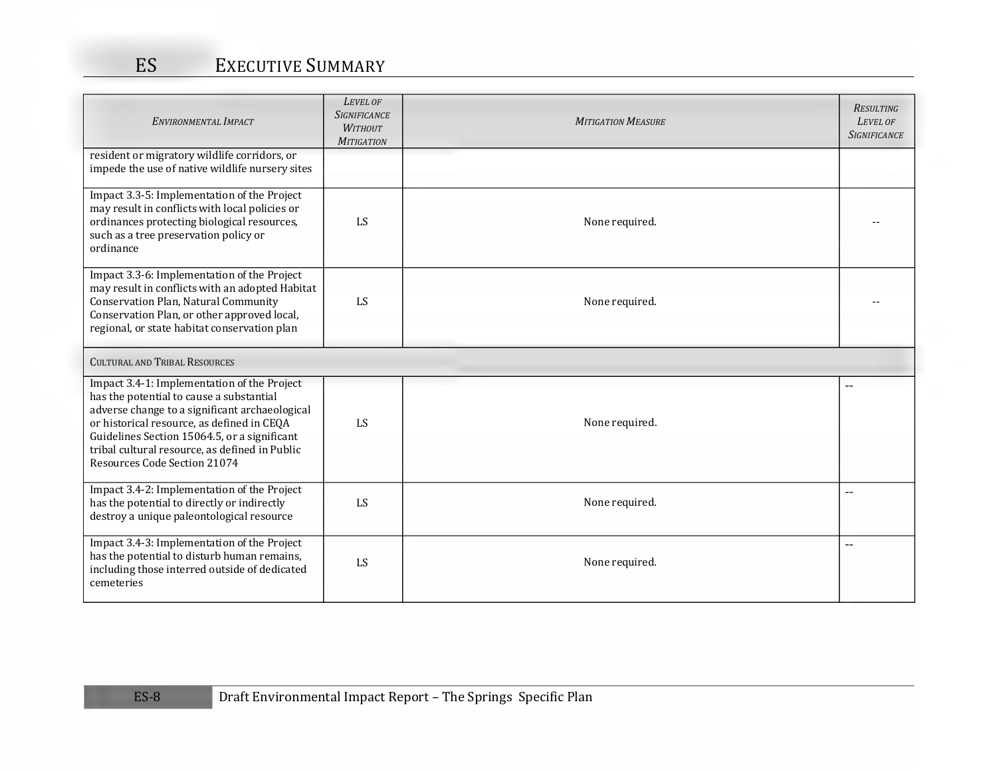| ENVIRONMENTAL IMPACT                                                                                                                                                                                                                                                                                                      | LEVEL OF<br><b>SIGNIFICANCE</b><br><b>WITHOUT</b><br><b>MITIGATION</b> | <b>MITIGATION MEASURE</b> | <b>RESULTING</b><br>LEVEL OF<br><b>SIGNIFICANCE</b> |
|---------------------------------------------------------------------------------------------------------------------------------------------------------------------------------------------------------------------------------------------------------------------------------------------------------------------------|------------------------------------------------------------------------|---------------------------|-----------------------------------------------------|
| resident or migratory wildlife corridors, or<br>impede the use of native wildlife nursery sites                                                                                                                                                                                                                           |                                                                        |                           |                                                     |
| Impact 3.3-5: Implementation of the Project<br>may result in conflicts with local policies or<br>ordinances protecting biological resources,<br>such as a tree preservation policy or<br>ordinance                                                                                                                        | LS                                                                     | None required.            |                                                     |
| Impact 3.3-6: Implementation of the Project<br>may result in conflicts with an adopted Habitat<br>Conservation Plan, Natural Community<br>Conservation Plan, or other approved local,<br>regional, or state habitat conservation plan                                                                                     | LS                                                                     | None required.            |                                                     |
| <b>CULTURAL AND TRIBAL RESOURCES</b>                                                                                                                                                                                                                                                                                      |                                                                        |                           |                                                     |
| Impact 3.4-1: Implementation of the Project<br>has the potential to cause a substantial<br>adverse change to a significant archaeological<br>or historical resource, as defined in CEQA<br>Guidelines Section 15064.5, or a significant<br>tribal cultural resource, as defined in Public<br>Resources Code Section 21074 | LS                                                                     | None required.            |                                                     |
| Impact 3.4-2: Implementation of the Project<br>has the potential to directly or indirectly<br>destroy a unique paleontological resource                                                                                                                                                                                   | LS                                                                     | None required.            | $-$                                                 |
| Impact 3.4-3: Implementation of the Project<br>has the potential to disturb human remains,<br>including those interred outside of dedicated<br>cemeteries                                                                                                                                                                 | LS                                                                     | None required.            | $\overline{\phantom{a}}$                            |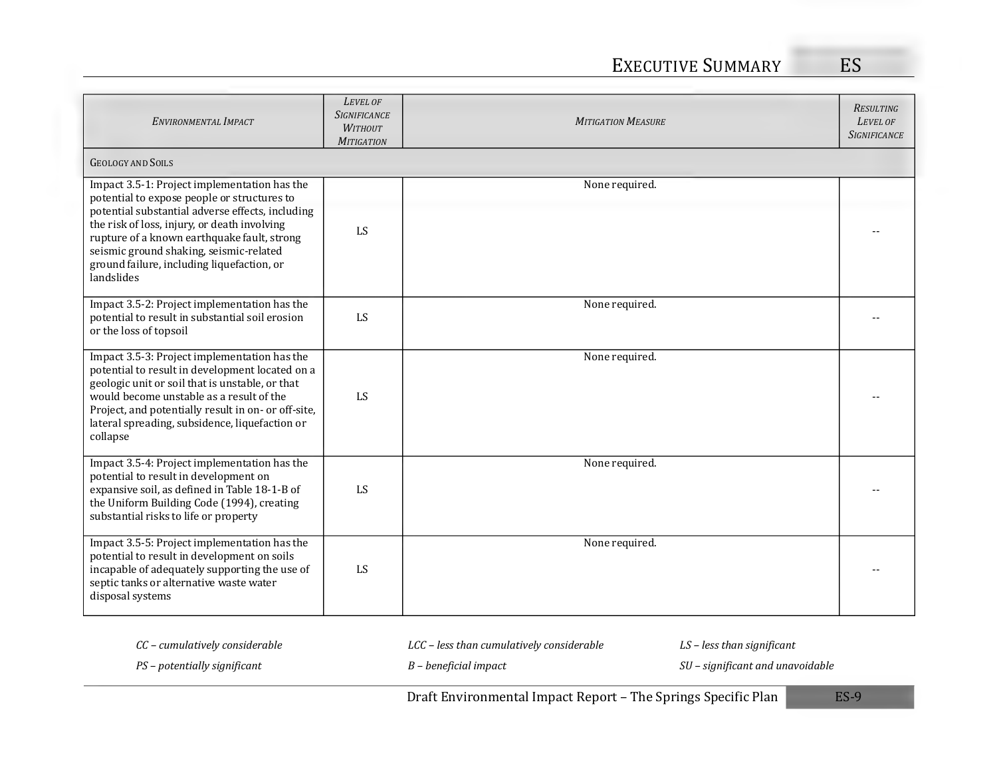## EXECUTIVE SUMMARY ES

| ENVIRONMENTAL IMPACT                                                                                                                                                                                                                                                                                                                                  | LEVEL OF<br><b>SIGNIFICANCE</b><br><b>WITHOUT</b><br><b>MITIGATION</b> | <b>MITIGATION MEASURE</b> | <b>RESULTING</b><br>LEVEL OF<br><b>SIGNIFICANCE</b> |
|-------------------------------------------------------------------------------------------------------------------------------------------------------------------------------------------------------------------------------------------------------------------------------------------------------------------------------------------------------|------------------------------------------------------------------------|---------------------------|-----------------------------------------------------|
| <b>GEOLOGY AND SOILS</b>                                                                                                                                                                                                                                                                                                                              |                                                                        |                           |                                                     |
| Impact 3.5-1: Project implementation has the<br>potential to expose people or structures to<br>potential substantial adverse effects, including<br>the risk of loss, injury, or death involving<br>rupture of a known earthquake fault, strong<br>seismic ground shaking, seismic-related<br>ground failure, including liquefaction, or<br>landslides | LS                                                                     | None required.            |                                                     |
| Impact 3.5-2: Project implementation has the<br>potential to result in substantial soil erosion<br>or the loss of topsoil                                                                                                                                                                                                                             | LS                                                                     | None required.            |                                                     |
| Impact 3.5-3: Project implementation has the<br>potential to result in development located on a<br>geologic unit or soil that is unstable, or that<br>would become unstable as a result of the<br>Project, and potentially result in on- or off-site,<br>lateral spreading, subsidence, liquefaction or<br>collapse                                   | LS                                                                     | None required.            |                                                     |
| Impact 3.5-4: Project implementation has the<br>potential to result in development on<br>expansive soil, as defined in Table 18-1-B of<br>the Uniform Building Code (1994), creating<br>substantial risks to life or property                                                                                                                         | LS                                                                     | None required.            |                                                     |
| Impact 3.5-5: Project implementation has the<br>potential to result in development on soils<br>incapable of adequately supporting the use of<br>septic tanks or alternative waste water<br>disposal systems                                                                                                                                           | LS                                                                     | None required.            |                                                     |

*CC – cumulatively considerable LCC – less than cumulatively considerable LS – less than significant* 

*PS – potentially significant B – beneficial impact SU – significant and unavoidable*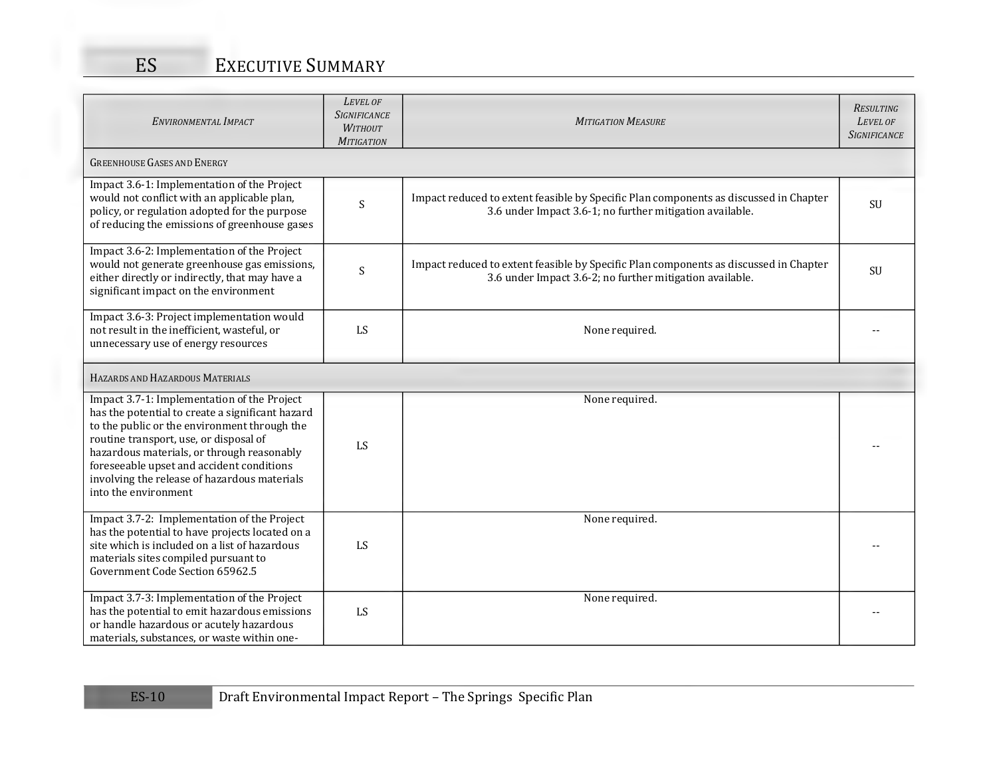| ENVIRONMENTAL IMPACT                                                                                                                                                                                                                                                                                                                                         | LEVEL OF<br><b>SIGNIFICANCE</b><br><b>WITHOUT</b><br><b>MITIGATION</b> | <b>MITIGATION MEASURE</b>                                                                                                                         | <b>RESULTING</b><br>LEVEL OF<br><b>SIGNIFICANCE</b> |
|--------------------------------------------------------------------------------------------------------------------------------------------------------------------------------------------------------------------------------------------------------------------------------------------------------------------------------------------------------------|------------------------------------------------------------------------|---------------------------------------------------------------------------------------------------------------------------------------------------|-----------------------------------------------------|
| <b>GREENHOUSE GASES AND ENERGY</b>                                                                                                                                                                                                                                                                                                                           |                                                                        |                                                                                                                                                   |                                                     |
| Impact 3.6-1: Implementation of the Project<br>would not conflict with an applicable plan,<br>policy, or regulation adopted for the purpose<br>of reducing the emissions of greenhouse gases                                                                                                                                                                 | $\mathsf S$                                                            | Impact reduced to extent feasible by Specific Plan components as discussed in Chapter<br>3.6 under Impact 3.6-1; no further mitigation available. | SU                                                  |
| Impact 3.6-2: Implementation of the Project<br>would not generate greenhouse gas emissions,<br>either directly or indirectly, that may have a<br>significant impact on the environment                                                                                                                                                                       | $\mathsf S$                                                            | Impact reduced to extent feasible by Specific Plan components as discussed in Chapter<br>3.6 under Impact 3.6-2; no further mitigation available. | SU                                                  |
| Impact 3.6-3: Project implementation would<br>not result in the inefficient, wasteful, or<br>unnecessary use of energy resources                                                                                                                                                                                                                             | LS                                                                     | None required.                                                                                                                                    |                                                     |
| HAZARDS AND HAZARDOUS MATERIALS                                                                                                                                                                                                                                                                                                                              |                                                                        |                                                                                                                                                   |                                                     |
| Impact 3.7-1: Implementation of the Project<br>has the potential to create a significant hazard<br>to the public or the environment through the<br>routine transport, use, or disposal of<br>hazardous materials, or through reasonably<br>foreseeable upset and accident conditions<br>involving the release of hazardous materials<br>into the environment | LS                                                                     | None required.                                                                                                                                    |                                                     |
| Impact 3.7-2: Implementation of the Project<br>has the potential to have projects located on a<br>site which is included on a list of hazardous<br>materials sites compiled pursuant to<br>Government Code Section 65962.5                                                                                                                                   | LS                                                                     | None required.                                                                                                                                    |                                                     |
| Impact 3.7-3: Implementation of the Project<br>has the potential to emit hazardous emissions<br>or handle hazardous or acutely hazardous<br>materials, substances, or waste within one-                                                                                                                                                                      | LS                                                                     | None required.                                                                                                                                    |                                                     |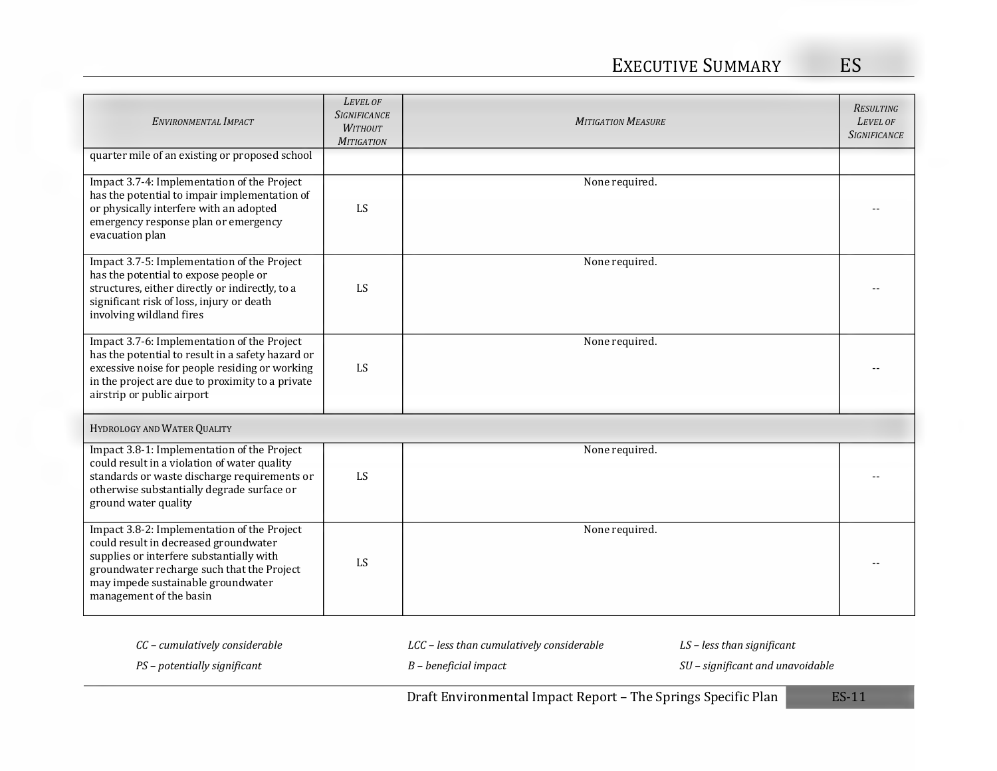| ENVIRONMENTAL IMPACT                                                                                                                                                                                                                            | LEVEL OF<br><b>SIGNIFICANCE</b><br><b>WITHOUT</b><br><b>MITIGATION</b> | <b>MITIGATION MEASURE</b> | <b>RESULTING</b><br>LEVEL OF<br><b>SIGNIFICANCE</b> |
|-------------------------------------------------------------------------------------------------------------------------------------------------------------------------------------------------------------------------------------------------|------------------------------------------------------------------------|---------------------------|-----------------------------------------------------|
| quarter mile of an existing or proposed school                                                                                                                                                                                                  |                                                                        |                           |                                                     |
| Impact 3.7-4: Implementation of the Project<br>has the potential to impair implementation of<br>or physically interfere with an adopted<br>emergency response plan or emergency<br>evacuation plan                                              | LS                                                                     | None required.            |                                                     |
| Impact 3.7-5: Implementation of the Project<br>has the potential to expose people or<br>structures, either directly or indirectly, to a<br>significant risk of loss, injury or death<br>involving wildland fires                                | LS                                                                     | None required.            |                                                     |
| Impact 3.7-6: Implementation of the Project<br>has the potential to result in a safety hazard or<br>excessive noise for people residing or working<br>in the project are due to proximity to a private<br>airstrip or public airport            | LS                                                                     | None required.            |                                                     |
| HYDROLOGY AND WATER QUALITY                                                                                                                                                                                                                     |                                                                        |                           |                                                     |
| Impact 3.8-1: Implementation of the Project<br>could result in a violation of water quality<br>standards or waste discharge requirements or<br>otherwise substantially degrade surface or<br>ground water quality                               | LS                                                                     | None required.            |                                                     |
| Impact 3.8-2: Implementation of the Project<br>could result in decreased groundwater<br>supplies or interfere substantially with<br>groundwater recharge such that the Project<br>may impede sustainable groundwater<br>management of the basin | LS                                                                     | None required.            |                                                     |

*CC – cumulatively considerable LCC – less than cumulatively considerable LS – less than significant* 

*PS – potentially significant B – beneficial impact SU – significant and unavoidable*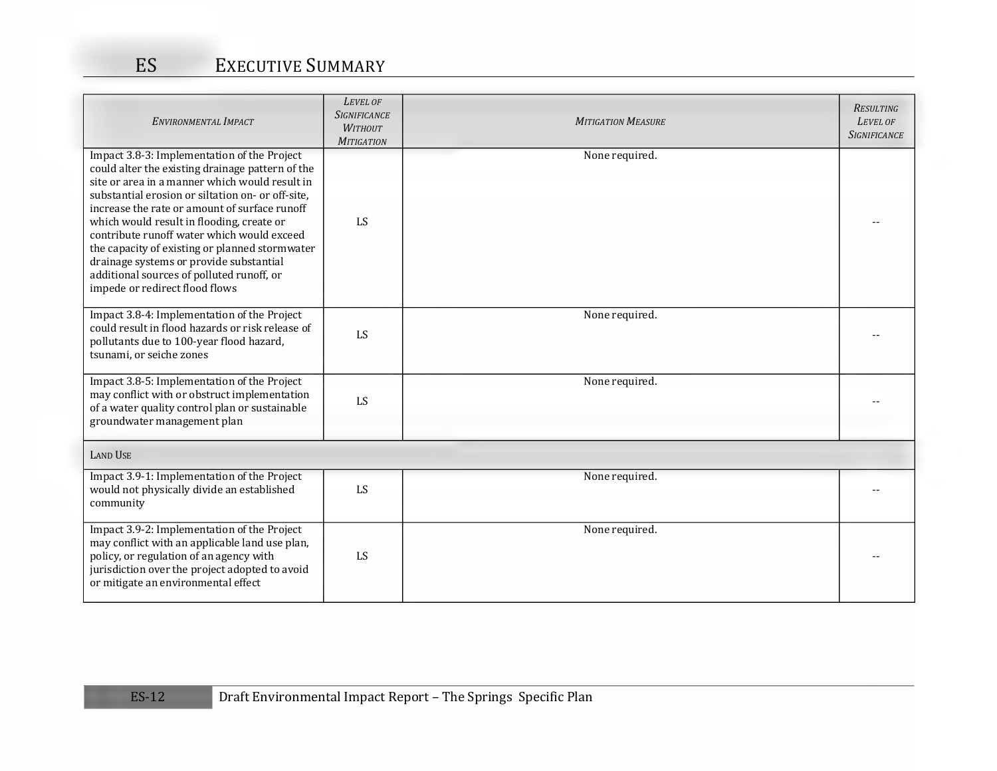| ENVIRONMENTAL IMPACT                                                                                                                                                                                                                                                                                                                                                                                                                                                                                                           | LEVEL OF<br><b>SIGNIFICANCE</b><br><b>WITHOUT</b><br><b>MITIGATION</b> | <b>MITIGATION MEASURE</b> | <b>RESULTING</b><br>LEVEL OF<br><b>SIGNIFICANCE</b> |
|--------------------------------------------------------------------------------------------------------------------------------------------------------------------------------------------------------------------------------------------------------------------------------------------------------------------------------------------------------------------------------------------------------------------------------------------------------------------------------------------------------------------------------|------------------------------------------------------------------------|---------------------------|-----------------------------------------------------|
| Impact 3.8-3: Implementation of the Project<br>could alter the existing drainage pattern of the<br>site or area in a manner which would result in<br>substantial erosion or siltation on- or off-site,<br>increase the rate or amount of surface runoff<br>which would result in flooding, create or<br>contribute runoff water which would exceed<br>the capacity of existing or planned stormwater<br>drainage systems or provide substantial<br>additional sources of polluted runoff, or<br>impede or redirect flood flows | LS                                                                     | None required.            |                                                     |
| Impact 3.8-4: Implementation of the Project<br>could result in flood hazards or risk release of<br>pollutants due to 100-year flood hazard,<br>tsunami, or seiche zones                                                                                                                                                                                                                                                                                                                                                        | LS                                                                     | None required.            |                                                     |
| Impact 3.8-5: Implementation of the Project<br>may conflict with or obstruct implementation<br>of a water quality control plan or sustainable<br>groundwater management plan                                                                                                                                                                                                                                                                                                                                                   | LS                                                                     | None required.            |                                                     |
| <b>LAND USE</b>                                                                                                                                                                                                                                                                                                                                                                                                                                                                                                                |                                                                        |                           |                                                     |
| Impact 3.9-1: Implementation of the Project<br>would not physically divide an established<br>community                                                                                                                                                                                                                                                                                                                                                                                                                         | LS                                                                     | None required.            |                                                     |
| Impact 3.9-2: Implementation of the Project<br>may conflict with an applicable land use plan,<br>policy, or regulation of an agency with<br>jurisdiction over the project adopted to avoid<br>or mitigate an environmental effect                                                                                                                                                                                                                                                                                              | LS                                                                     | None required.            |                                                     |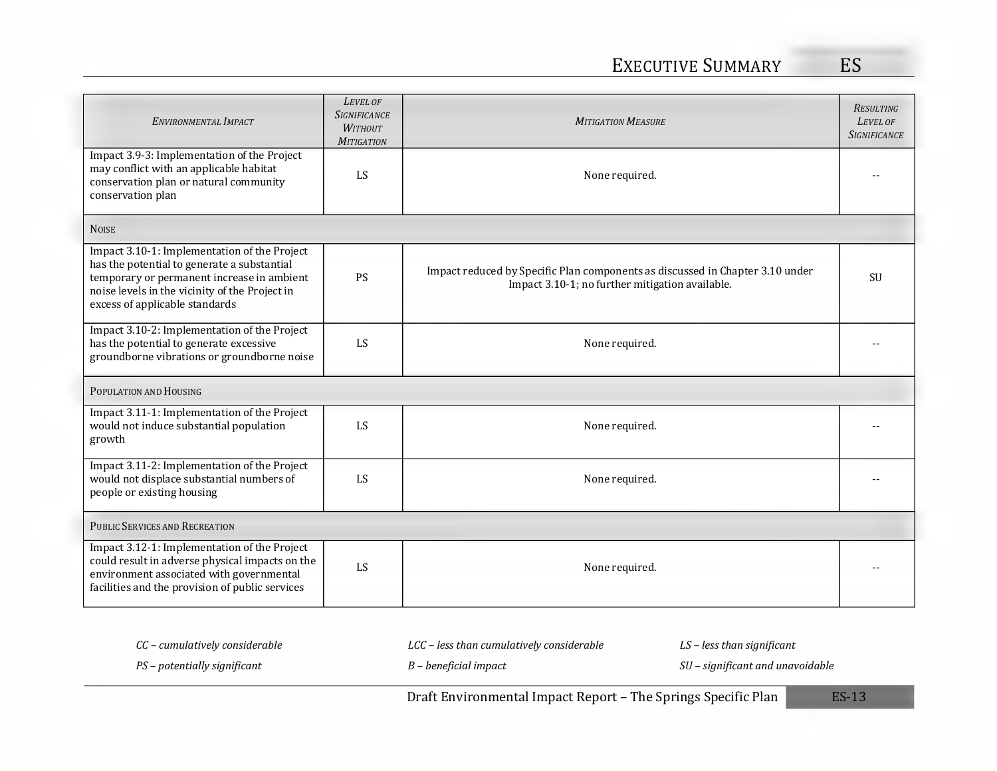| ENVIRONMENTAL IMPACT                                                                                                                                                                                                          | LEVEL OF<br><b>SIGNIFICANCE</b><br><b>WITHOUT</b><br><b>MITIGATION</b> | <b>MITIGATION MEASURE</b>                                                                                                        | <b>RESULTING</b><br>LEVEL OF<br><b>SIGNIFICANCE</b> |  |  |  |  |  |
|-------------------------------------------------------------------------------------------------------------------------------------------------------------------------------------------------------------------------------|------------------------------------------------------------------------|----------------------------------------------------------------------------------------------------------------------------------|-----------------------------------------------------|--|--|--|--|--|
| Impact 3.9-3: Implementation of the Project<br>may conflict with an applicable habitat<br>conservation plan or natural community<br>conservation plan                                                                         | LS                                                                     | None required.                                                                                                                   |                                                     |  |  |  |  |  |
| <b>NOISE</b>                                                                                                                                                                                                                  |                                                                        |                                                                                                                                  |                                                     |  |  |  |  |  |
| Impact 3.10-1: Implementation of the Project<br>has the potential to generate a substantial<br>temporary or permanent increase in ambient<br>noise levels in the vicinity of the Project in<br>excess of applicable standards | PS                                                                     | Impact reduced by Specific Plan components as discussed in Chapter 3.10 under<br>Impact 3.10-1; no further mitigation available. | <b>SU</b>                                           |  |  |  |  |  |
| Impact 3.10-2: Implementation of the Project<br>has the potential to generate excessive<br>groundborne vibrations or groundborne noise                                                                                        | LS                                                                     | None required.                                                                                                                   |                                                     |  |  |  |  |  |
| POPULATION AND HOUSING                                                                                                                                                                                                        |                                                                        |                                                                                                                                  |                                                     |  |  |  |  |  |
| Impact 3.11-1: Implementation of the Project<br>would not induce substantial population<br>growth                                                                                                                             | LS                                                                     | None required.                                                                                                                   |                                                     |  |  |  |  |  |
| Impact 3.11-2: Implementation of the Project<br>would not displace substantial numbers of<br>people or existing housing                                                                                                       | LS                                                                     | None required.                                                                                                                   |                                                     |  |  |  |  |  |
| <b>PUBLIC SERVICES AND RECREATION</b>                                                                                                                                                                                         |                                                                        |                                                                                                                                  |                                                     |  |  |  |  |  |
| Impact 3.12-1: Implementation of the Project<br>could result in adverse physical impacts on the<br>environment associated with governmental<br>facilities and the provision of public services                                | LS                                                                     | None required.                                                                                                                   |                                                     |  |  |  |  |  |

|                                | Draft Environmental Impact Report – The Springs Specific Plan | $ES-13$                          |  |
|--------------------------------|---------------------------------------------------------------|----------------------------------|--|
| PS – potentially significant   | B – beneficial impact                                         | SU – significant and unavoidable |  |
| CC – cumulatively considerable | LCC – less than cumulatively considerable                     | $LS$ – less than significant     |  |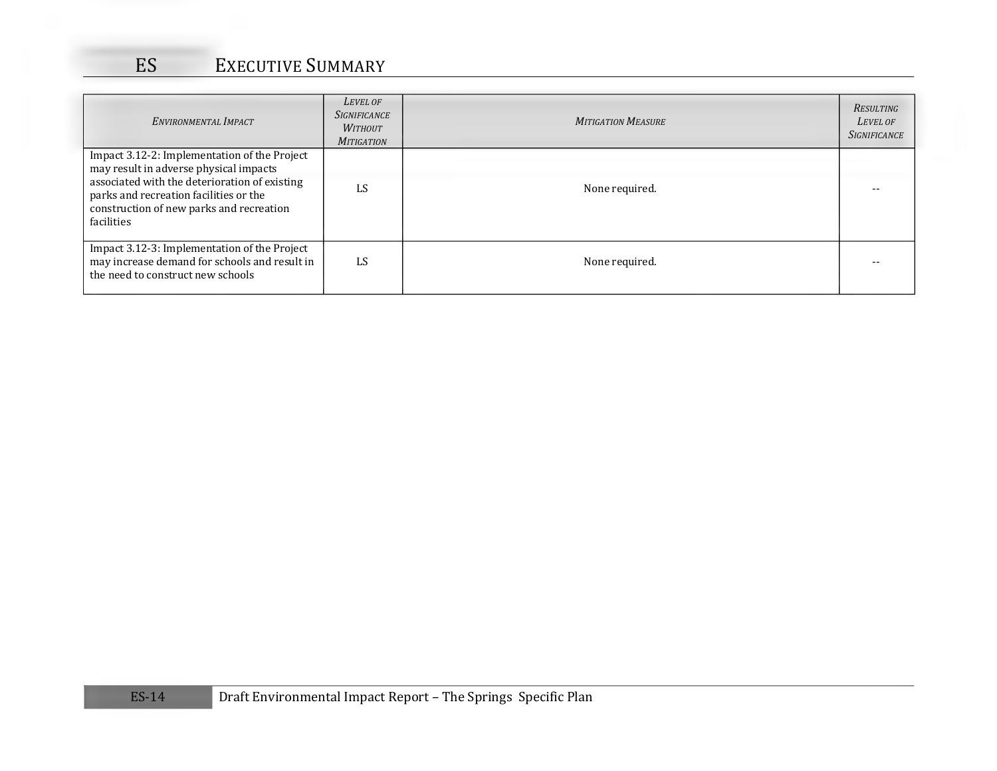| ENVIRONMENTAL IMPACT                                                                                                                                                                                                                        | LEVEL OF<br><b>SIGNIFICANCE</b><br><b>WITHOUT</b><br><b>MITIGATION</b> | <b>MITIGATION MEASURE</b> | RESULTING<br>LEVEL OF<br><b>SIGNIFICANCE</b> |
|---------------------------------------------------------------------------------------------------------------------------------------------------------------------------------------------------------------------------------------------|------------------------------------------------------------------------|---------------------------|----------------------------------------------|
| Impact 3.12-2: Implementation of the Project<br>may result in adverse physical impacts<br>associated with the deterioration of existing<br>parks and recreation facilities or the<br>construction of new parks and recreation<br>facilities | LS                                                                     | None required.            |                                              |
| Impact 3.12-3: Implementation of the Project<br>may increase demand for schools and result in<br>the need to construct new schools                                                                                                          | LS                                                                     | None required.            |                                              |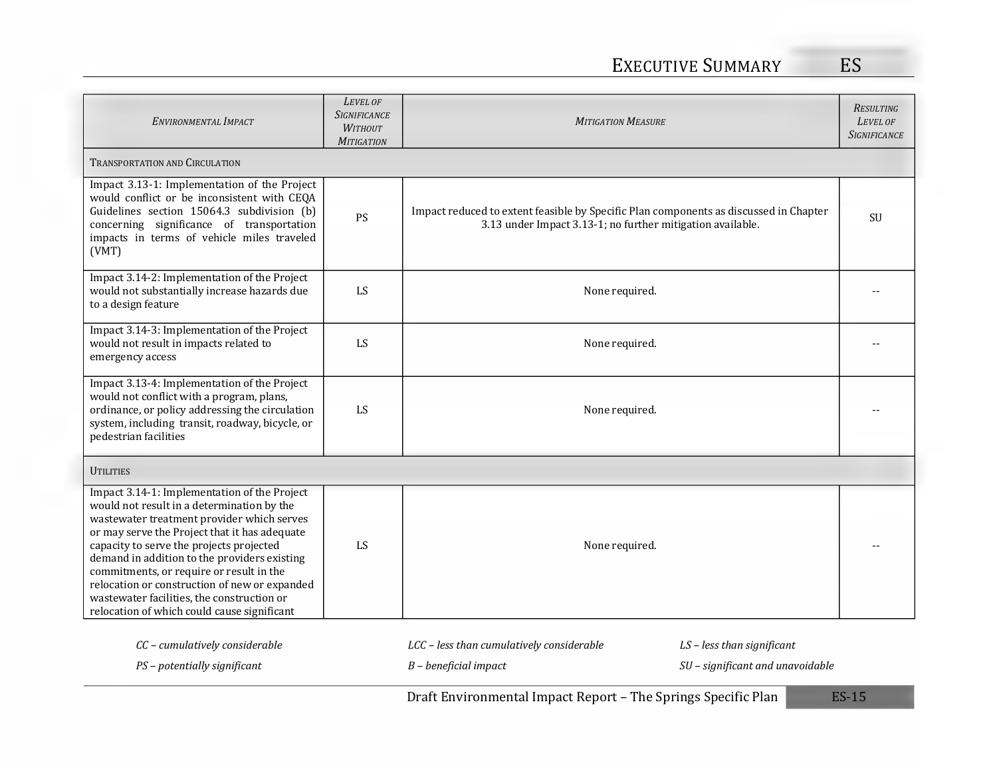# EXECUTIVE SUMMARY ES

| ENVIRONMENTAL IMPACT                                                                                                                                                                                                                                                                                                                                                                                                                                                            | LEVEL OF<br><b>SIGNIFICANCE</b><br><b>WITHOUT</b><br><b>MITIGATION</b> | <b>MITIGATION MEASURE</b>                                                                                                                           |                                                                  | <b>RESULTING</b><br>LEVEL OF<br><b>SIGNIFICANCE</b> |
|---------------------------------------------------------------------------------------------------------------------------------------------------------------------------------------------------------------------------------------------------------------------------------------------------------------------------------------------------------------------------------------------------------------------------------------------------------------------------------|------------------------------------------------------------------------|-----------------------------------------------------------------------------------------------------------------------------------------------------|------------------------------------------------------------------|-----------------------------------------------------|
| <b>TRANSPORTATION AND CIRCULATION</b>                                                                                                                                                                                                                                                                                                                                                                                                                                           |                                                                        |                                                                                                                                                     |                                                                  |                                                     |
| Impact 3.13-1: Implementation of the Project<br>would conflict or be inconsistent with CEQA<br>Guidelines section 15064.3 subdivision (b)<br>concerning significance of transportation<br>impacts in terms of vehicle miles traveled<br>(VMT)                                                                                                                                                                                                                                   | PS                                                                     | Impact reduced to extent feasible by Specific Plan components as discussed in Chapter<br>3.13 under Impact 3.13-1; no further mitigation available. |                                                                  | SU                                                  |
| Impact 3.14-2: Implementation of the Project<br>would not substantially increase hazards due<br>to a design feature                                                                                                                                                                                                                                                                                                                                                             | LS                                                                     | None required.                                                                                                                                      |                                                                  |                                                     |
| Impact 3.14-3: Implementation of the Project<br>would not result in impacts related to<br>emergency access                                                                                                                                                                                                                                                                                                                                                                      | LS                                                                     | None required.                                                                                                                                      |                                                                  |                                                     |
| Impact 3.13-4: Implementation of the Project<br>would not conflict with a program, plans,<br>ordinance, or policy addressing the circulation<br>system, including transit, roadway, bicycle, or<br>pedestrian facilities                                                                                                                                                                                                                                                        | LS                                                                     | None required.                                                                                                                                      |                                                                  |                                                     |
| <b>UTILITIES</b>                                                                                                                                                                                                                                                                                                                                                                                                                                                                |                                                                        |                                                                                                                                                     |                                                                  |                                                     |
| Impact 3.14-1: Implementation of the Project<br>would not result in a determination by the<br>wastewater treatment provider which serves<br>or may serve the Project that it has adequate<br>capacity to serve the projects projected<br>demand in addition to the providers existing<br>commitments, or require or result in the<br>relocation or construction of new or expanded<br>wastewater facilities, the construction or<br>relocation of which could cause significant | LS                                                                     | None required.                                                                                                                                      |                                                                  |                                                     |
| CC - cumulatively considerable<br>PS - potentially significant                                                                                                                                                                                                                                                                                                                                                                                                                  |                                                                        | LCC - less than cumulatively considerable<br>$B$ – beneficial impact                                                                                | $LS$ – less than significant<br>SU - significant and unavoidable |                                                     |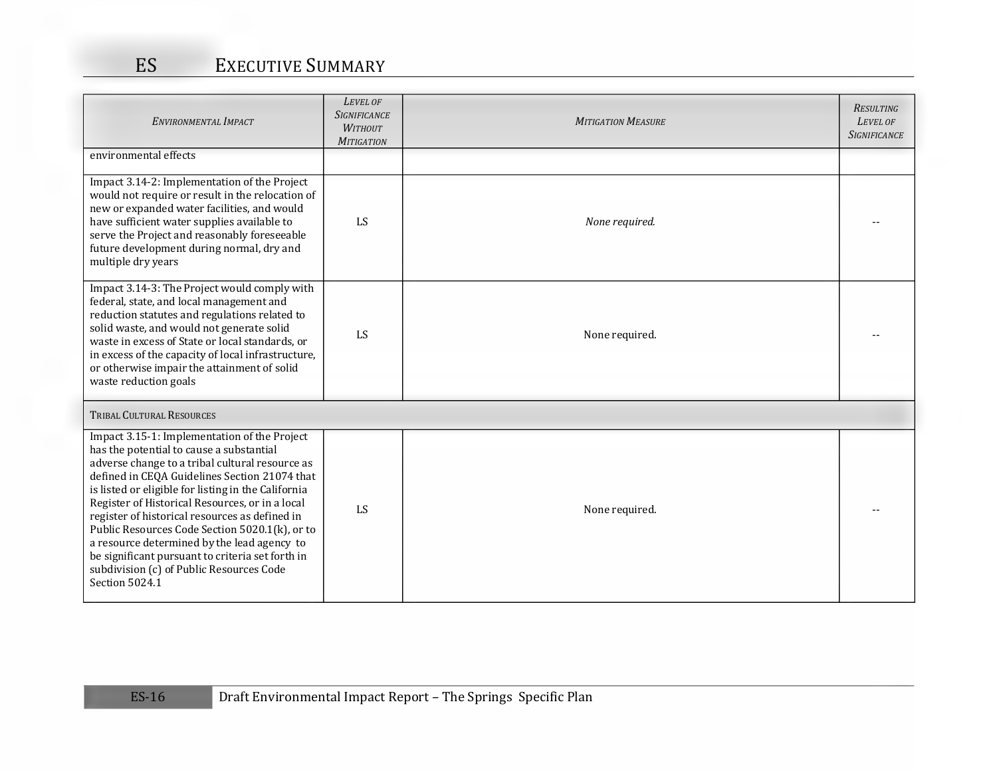| ENVIRONMENTAL IMPACT                                                                                                                                                                                                                                                                                                                                                                                                                                                                                                                                                        | LEVEL OF<br><b>SIGNIFICANCE</b><br><b>WITHOUT</b><br><b>MITIGATION</b> | <b>MITIGATION MEASURE</b> | <b>RESULTING</b><br>LEVEL OF<br><b>SIGNIFICANCE</b> |
|-----------------------------------------------------------------------------------------------------------------------------------------------------------------------------------------------------------------------------------------------------------------------------------------------------------------------------------------------------------------------------------------------------------------------------------------------------------------------------------------------------------------------------------------------------------------------------|------------------------------------------------------------------------|---------------------------|-----------------------------------------------------|
| environmental effects                                                                                                                                                                                                                                                                                                                                                                                                                                                                                                                                                       |                                                                        |                           |                                                     |
| Impact 3.14-2: Implementation of the Project<br>would not require or result in the relocation of<br>new or expanded water facilities, and would<br>have sufficient water supplies available to<br>serve the Project and reasonably foreseeable<br>future development during normal, dry and<br>multiple dry years                                                                                                                                                                                                                                                           | LS                                                                     | None required.            |                                                     |
| Impact 3.14-3: The Project would comply with<br>federal, state, and local management and<br>reduction statutes and regulations related to<br>solid waste, and would not generate solid<br>waste in excess of State or local standards, or<br>in excess of the capacity of local infrastructure,<br>or otherwise impair the attainment of solid<br>waste reduction goals                                                                                                                                                                                                     | LS                                                                     | None required.            |                                                     |
| <b>TRIBAL CULTURAL RESOURCES</b>                                                                                                                                                                                                                                                                                                                                                                                                                                                                                                                                            |                                                                        |                           |                                                     |
| Impact 3.15-1: Implementation of the Project<br>has the potential to cause a substantial<br>adverse change to a tribal cultural resource as<br>defined in CEQA Guidelines Section 21074 that<br>is listed or eligible for listing in the California<br>Register of Historical Resources, or in a local<br>register of historical resources as defined in<br>Public Resources Code Section 5020.1(k), or to<br>a resource determined by the lead agency to<br>be significant pursuant to criteria set forth in<br>subdivision (c) of Public Resources Code<br>Section 5024.1 | LS                                                                     | None required.            |                                                     |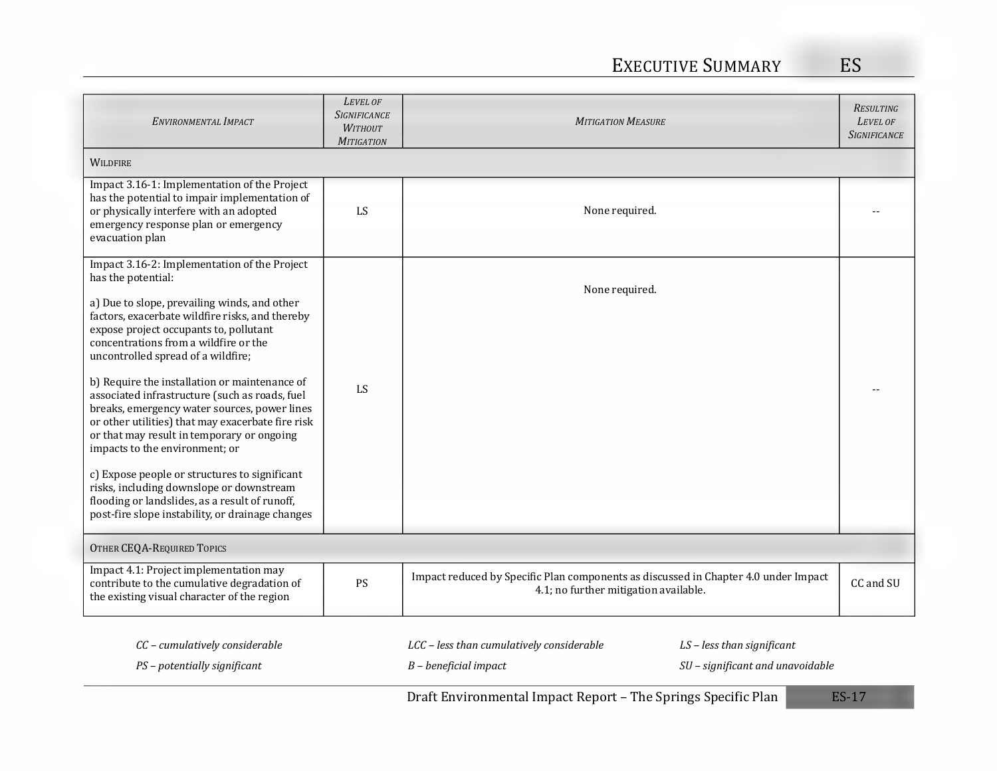| ENVIRONMENTAL IMPACT                                                                                                                                                                                                                                                                                                                                                                                                                                                                                                                                                                                                                                                                                                | LEVEL OF<br><b>SIGNIFICANCE</b><br><b>WITHOUT</b><br><b>MITIGATION</b> | <b>MITIGATION MEASURE</b>                                                                                                                | <b>RESULTING</b><br>LEVEL OF<br><b>SIGNIFICANCE</b> |
|---------------------------------------------------------------------------------------------------------------------------------------------------------------------------------------------------------------------------------------------------------------------------------------------------------------------------------------------------------------------------------------------------------------------------------------------------------------------------------------------------------------------------------------------------------------------------------------------------------------------------------------------------------------------------------------------------------------------|------------------------------------------------------------------------|------------------------------------------------------------------------------------------------------------------------------------------|-----------------------------------------------------|
| <b>WILDFIRE</b>                                                                                                                                                                                                                                                                                                                                                                                                                                                                                                                                                                                                                                                                                                     |                                                                        |                                                                                                                                          |                                                     |
| Impact 3.16-1: Implementation of the Project<br>has the potential to impair implementation of<br>or physically interfere with an adopted<br>emergency response plan or emergency<br>evacuation plan                                                                                                                                                                                                                                                                                                                                                                                                                                                                                                                 | LS                                                                     | None required.                                                                                                                           |                                                     |
| Impact 3.16-2: Implementation of the Project<br>has the potential:                                                                                                                                                                                                                                                                                                                                                                                                                                                                                                                                                                                                                                                  |                                                                        |                                                                                                                                          |                                                     |
| a) Due to slope, prevailing winds, and other<br>factors, exacerbate wildfire risks, and thereby<br>expose project occupants to, pollutant<br>concentrations from a wildfire or the<br>uncontrolled spread of a wildfire;<br>b) Require the installation or maintenance of<br>associated infrastructure (such as roads, fuel<br>breaks, emergency water sources, power lines<br>or other utilities) that may exacerbate fire risk<br>or that may result in temporary or ongoing<br>impacts to the environment; or<br>c) Expose people or structures to significant<br>risks, including downslope or downstream<br>flooding or landslides, as a result of runoff,<br>post-fire slope instability, or drainage changes | LS                                                                     | None required.                                                                                                                           |                                                     |
| OTHER CEQA-REQUIRED TOPICS                                                                                                                                                                                                                                                                                                                                                                                                                                                                                                                                                                                                                                                                                          |                                                                        |                                                                                                                                          |                                                     |
| Impact 4.1: Project implementation may<br>contribute to the cumulative degradation of<br>the existing visual character of the region                                                                                                                                                                                                                                                                                                                                                                                                                                                                                                                                                                                | PS                                                                     | Impact reduced by Specific Plan components as discussed in Chapter 4.0 under Impact<br>4.1; no further mitigation available.             | CC and SU                                           |
| CC - cumulatively considerable<br>PS - potentially significant                                                                                                                                                                                                                                                                                                                                                                                                                                                                                                                                                                                                                                                      |                                                                        | LCC - less than cumulatively considerable<br>$LS$ – less than significant<br>SU - significant and unavoidable<br>$B$ – beneficial impact |                                                     |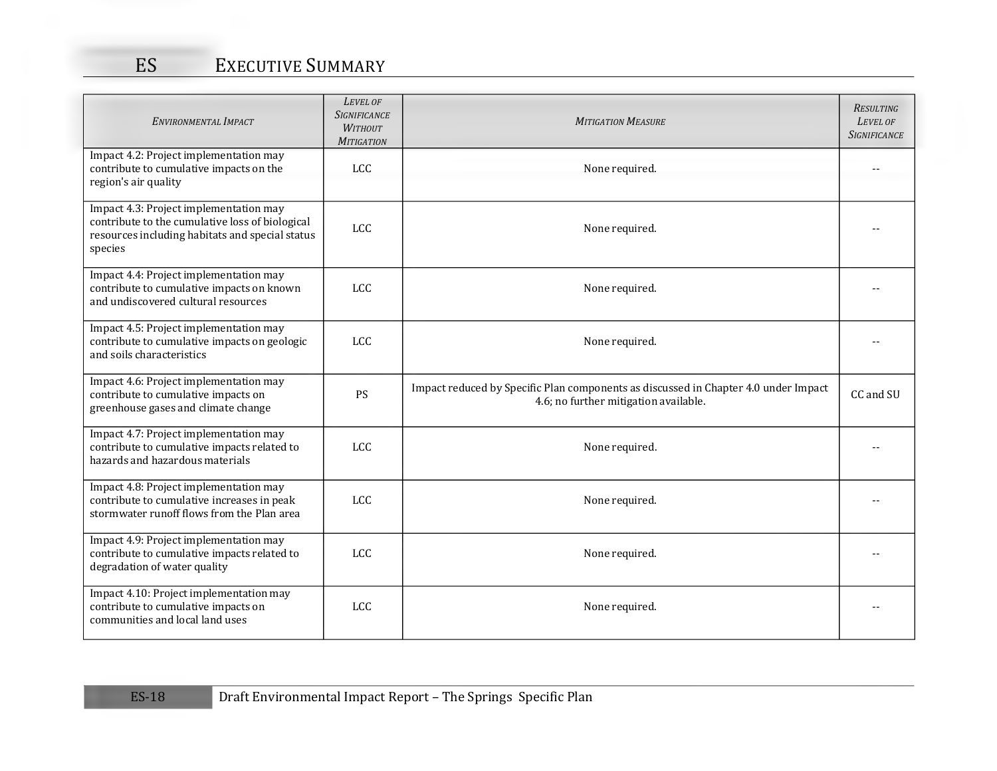| ENVIRONMENTAL IMPACT                                                                                                                                    | LEVEL OF<br><b>SIGNIFICANCE</b><br><b>WITHOUT</b><br><b>MITIGATION</b> | <b>MITIGATION MEASURE</b>                                                                                                    | <b>RESULTING</b><br>LEVEL OF<br><b>SIGNIFICANCE</b> |
|---------------------------------------------------------------------------------------------------------------------------------------------------------|------------------------------------------------------------------------|------------------------------------------------------------------------------------------------------------------------------|-----------------------------------------------------|
| Impact 4.2: Project implementation may<br>contribute to cumulative impacts on the<br>region's air quality                                               | <b>LCC</b>                                                             | None required.                                                                                                               |                                                     |
| Impact 4.3: Project implementation may<br>contribute to the cumulative loss of biological<br>resources including habitats and special status<br>species | <b>LCC</b>                                                             | None required.                                                                                                               |                                                     |
| Impact 4.4: Project implementation may<br>contribute to cumulative impacts on known<br>and undiscovered cultural resources                              | <b>LCC</b>                                                             | None required.                                                                                                               |                                                     |
| Impact 4.5: Project implementation may<br>contribute to cumulative impacts on geologic<br>and soils characteristics                                     | <b>LCC</b>                                                             | None required.                                                                                                               |                                                     |
| Impact 4.6: Project implementation may<br>contribute to cumulative impacts on<br>greenhouse gases and climate change                                    | PS                                                                     | Impact reduced by Specific Plan components as discussed in Chapter 4.0 under Impact<br>4.6; no further mitigation available. | CC and SU                                           |
| Impact 4.7: Project implementation may<br>contribute to cumulative impacts related to<br>hazards and hazardous materials                                | <b>LCC</b>                                                             | None required.                                                                                                               |                                                     |
| Impact 4.8: Project implementation may<br>contribute to cumulative increases in peak<br>stormwater runoff flows from the Plan area                      | <b>LCC</b>                                                             | None required.                                                                                                               |                                                     |
| Impact 4.9: Project implementation may<br>contribute to cumulative impacts related to<br>degradation of water quality                                   | <b>LCC</b>                                                             | None required.                                                                                                               |                                                     |
| Impact 4.10: Project implementation may<br>contribute to cumulative impacts on<br>communities and local land uses                                       | <b>LCC</b>                                                             | None required.                                                                                                               |                                                     |